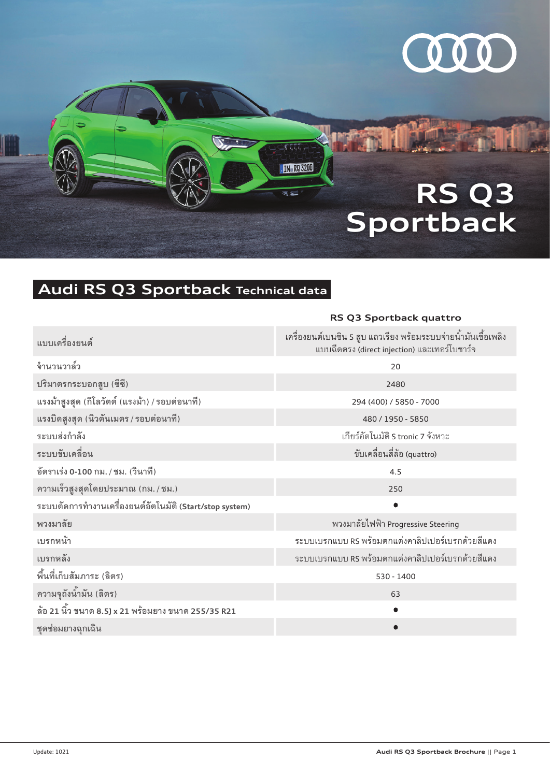

# **RS Q3 Sportback**

## **Audi RS Q3 Sportback Technical data**

|                                                         | RS Q3 Sportback quattro                                                                                        |  |  |
|---------------------------------------------------------|----------------------------------------------------------------------------------------------------------------|--|--|
| แบบเครื่องยนต์                                          | เครื่องยนต์เบนซิน 5 สูบ แถวเรียง พร้อมระบบจ่ายน้ำมันเชื้อเพลิง<br>แบบฉีดตรง (direct injection) และเทอร์โบชาร์จ |  |  |
| จำนวนวาล์ว                                              | 20                                                                                                             |  |  |
| ปริมาตรกระบอกสูบ (ซีซี)                                 | 2480                                                                                                           |  |  |
| แรงม้าสูงสุด (กิโลวัตต์ (แรงม้า) / รอบต่อนาที)          | 294 (400) / 5850 - 7000                                                                                        |  |  |
| แรงบิดสูงสุด (นิวตันเมตร / รอบต่อนาที)                  | 480 / 1950 - 5850                                                                                              |  |  |
| ระบบส่งกำลัง                                            | เกียร์อัตโนมัติ S tronic 7 จังหวะ                                                                              |  |  |
| ระบบขับเคลื่อน                                          | ขับเคลื่อนสี่ล้อ (quattro)                                                                                     |  |  |
| อัตราเร่ง 0-100 กม. / ชม. (วินาที)                      | 4.5                                                                                                            |  |  |
| ความเร็วสูงสุดโดยประมาณ (กม. / ชม.)                     | 250                                                                                                            |  |  |
| ระบบตัดการทำงานเครื่องยนต์อัตโนมัติ (Start/stop system) |                                                                                                                |  |  |
| พวงมาลัย                                                | พวงมาลัยไฟฟ้า Progressive Steering                                                                             |  |  |
| เบรกหน้า                                                | ระบบเบรกแบบ RS พร้อมตกแต่งคาลิปเปอร์เบรกด้วยสีแดง                                                              |  |  |
| เบรกหลัง                                                | ระบบเบรกแบบ RS พร้อมตกแต่งคาลิปเปอร์เบรกด้วยสีแดง                                                              |  |  |
| พื้นที่เก็บสัมภาระ (ลิตร)                               | 530 - 1400                                                                                                     |  |  |
| ความจุถังน้ำมัน (ลิตร)                                  | 63                                                                                                             |  |  |
| ล้อ 21 นิ้ว ขนาด 8.5J x 21 พร้อมยาง ขนาด 255/35 R21     |                                                                                                                |  |  |
| ชุดซ่อมยางฉุกเฉิน                                       |                                                                                                                |  |  |

 $\overline{\mathcal{M}(\mathbb{Q})}$ 

**IN RQ 3200** 

 $\overline{\mathbf{x}}$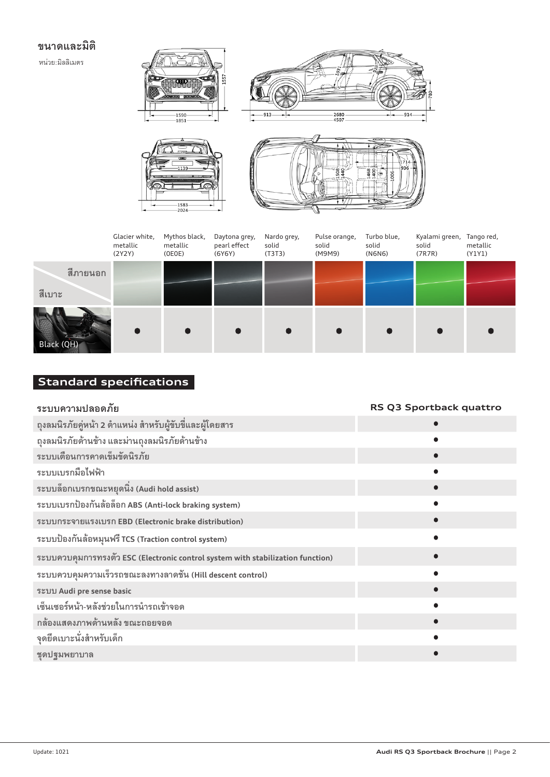### **ขนาดและมิติ**

หน่วย:มิลลิเมตร







|                    | Glacier white,<br>metallic<br>(2Y2Y) | Mythos black,<br>metallic<br>(OEOE) | Daytona grey,<br>pearl effect<br>(6Y6Y) | Nardo grey,<br>solid<br>(T3T3) | Pulse orange,<br>solid<br>(M9M9) | Turbo blue,<br>solid<br>(N6N6) | Kyalami green, Tango red,<br>solid<br>(7R7R) | metallic<br>(Y1Y1) |
|--------------------|--------------------------------------|-------------------------------------|-----------------------------------------|--------------------------------|----------------------------------|--------------------------------|----------------------------------------------|--------------------|
| สีภายนอก<br>สีเบาะ |                                      |                                     |                                         |                                |                                  |                                |                                              |                    |
| Black (QH)         |                                      |                                     |                                         |                                |                                  |                                |                                              |                    |

## **Standard specifications**

| ระบบความปลอดภัย                                                                 | RS Q3 Sportback quattro |
|---------------------------------------------------------------------------------|-------------------------|
| ถุงลมนิรภัยคู่หน้า 2 ตำแหน่ง สำหรับผู้ขับขี่และผู้โดยสาร                        |                         |
| ถุงลมนิรภัยด้านข้าง และม่านถุงลมนิรภัยด้านข้าง                                  |                         |
| ระบบเตือนการคาดเข็มขัดนิรภัย                                                    |                         |
| ระบบเบรกมือไฟฟ้า                                                                |                         |
| ระบบล็อกเบรกขณะหยุดนิ่ง (Audi hold assist)                                      |                         |
| ระบบเบรกป้องกันล้อล็อก ABS (Anti-lock braking system)                           |                         |
| ระบบกระจายแรงเบรก EBD (Electronic brake distribution)                           |                         |
| ระบบป้องกันล้อหมุนฟรี TCS (Traction control system)                             |                         |
| ระบบควบคุมการทรงตัว ESC (Electronic control system with stabilization function) |                         |
| ระบบควบคุมความเร็วรถขณะลงทางลาดชั้น (Hill descent control)                      |                         |
| ระบบ Audi pre sense basic                                                       |                         |
| เซ็นเซอร์หน้า-หลังช่วยในการนำรถเข้าจอด                                          |                         |
| กล้องแสดงภาพด้านหลัง ขณะถอยจอด                                                  |                         |
| จุดยึดเบาะนั่งสำหรับเด็ก                                                        |                         |
| ชุดปฐมพยาบาล                                                                    |                         |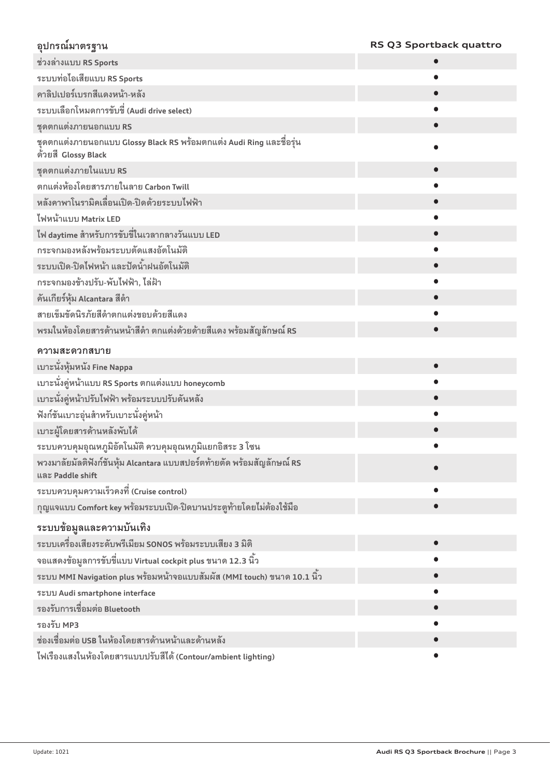## **อุปกรณ์มาตรฐาน RS Q3 Sportback quattro**

| ช่วงล่างแบบ RS Sports                                                                       |
|---------------------------------------------------------------------------------------------|
| ระบบท่อไอเสียแบบ RS Sports                                                                  |
| คาลิปเปอร์เบรกสีแดงหน้า-หลัง                                                                |
| ระบบเลือกโหมดการขับขี่ (Audi drive select)                                                  |
| ชุดตกแต่งภายนอกแบบ RS                                                                       |
| ชุดตกแต่งภายนอกแบบ Glossy Black RS พร้อมตกแต่ง Audi Ring และชื่อรุ่น<br>ด้วยสี Glossy Black |
| ชุดตกแต่งภายในแบบ RS                                                                        |
| ิตกแต่งห้องโดยสารภายในลาย Carbon Twill                                                      |
| หลังคาพาโนรามิคเลื่อนเปิด-ปิดด้วยระบบไฟฟ้า                                                  |
| ไฟหน้าแบบ Matrix LED                                                                        |
| ไฟ daytime สำหรับการขับขี่ในเวลากลางวันแบบ LED                                              |
| กระจกมองหลังพร้อมระบบตัดแสงอัตโนมัติ                                                        |
| ระบบเปิด-ปิดไฟหน้า และปัดน้ำฝนอัตโนมัติ                                                     |
| กระจกมองข้างปรับ-พับไฟฟ้า, ไล่ฝ้า                                                           |
| คันเกียร์หุ้ม Alcantara สีดำ                                                                |
| สายเข็มขัดนิรภัยสีดำตกแต่งขอบด้วยสีแดง                                                      |
| พรมในห้องโดยสารด้านหน้าสีดำ ตกแต่งด้วยด้ายสีแดง พร้อมสัญลักษณ์ RS                           |
| ความสะดวกสบาย                                                                               |
| เบาะนั่งหุ้มหนัง Fine Nappa                                                                 |
| เบาะนั่งคู่หน้าแบบ RS Sports ตกแต่งแบบ honeycomb                                            |
| เบาะนั่งคู่หน้าปรับไฟฟ้า พร้อมระบบปรับดันหลัง                                               |
| ฟังก์ชันเบาะอุ่นสำหรับเบาะนั่งคู่หน้า                                                       |
| เบาะผู้โดยสารด้านหลังพับได้                                                                 |
| ระบบควบคุมอุณหภูมิอัตโนมัติ ควบคุมอุณหภูมิแยกอิสระ 3 โซน                                    |
| พวงมาลัยมัลติฟังก์ชันหุ้ม Alcantara แบบสปอร์ตท้ายตัด พร้อมสัญลักษณ์ RS<br>และ Paddle shift  |
| ระบบควบคุมความเร็วคงที่ (Cruise control)                                                    |
| กุญแจแบบ Comfort key พร้อมระบบเปิด-ปิดบานประตูท้ายโดยไม่ต้องใช้มือ                          |
| ระบบข้อมูลและความบันเทิง                                                                    |
| ระบบเครื่องเสียงระดับพรีเมียม SONOS พร้อมระบบเสียง 3 มิติ                                   |
| จอแสดงข้อมูลการขับขี่แบบ Virtual cockpit plus ขนาด 12.3 นิ้ว                                |
| ระบบ MMI Navigation plus พร้อมหน้าจอแบบสัมผัส (MMI touch) ขนาด 10.1 นิ้ว                    |
| ระบบ Audi smartphone interface                                                              |
| รองรับการเชื่อมต่อ Bluetooth                                                                |
| รองรับ MP3                                                                                  |
| ช่องเชื่อมต่อ USB ในห้องโดยสารด้านหน้าและด้านหลัง                                           |
|                                                                                             |

**ไฟเรืองแสงในห้องโดยสารแบบปรับสีได้ (Contour/ambient lighting)** <sup>o</sup>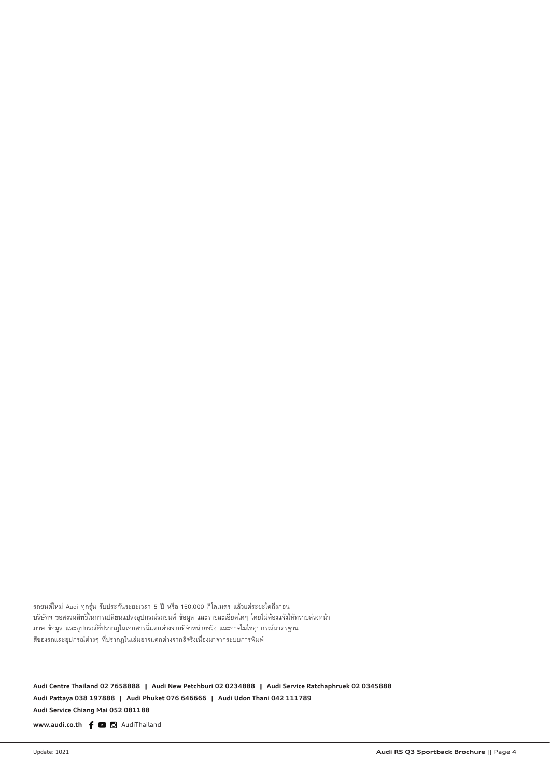รถยนต์ใหม่ Audi ทุกรุ่น รับประกันระยะเวลา 5 ปี หรือ 150,000 กิโลเมตร แล้วแต่ระยะใดถึงก่อน บริษัทฯ ขอสงวนสิทธิ์ในการเปลี่ยนแปลงอุปกรณ์รถยนต์ ข้อมูล และรายละเอียดใดๆ โดยไม่ต้องแจ้งให้ทราบล่วงหน้า ภาพ ข้อมูล และอุปกรณ์ที่ปรากฏในเอกสารนี้แตกต่างจากที่จำหน่ายจริง และอาจไม่ใช่อุปกรณ์มาตรฐาน สีของรถและอุปกรณ์ต่างๆ ที่ปรากฎในเล่มอาจแตกต่างจากสีจริงเนื่องมาจากระบบการพิมพ์

Audi Centre Thailand 02 7658888 Audi New Petchburi 02 0234888 Audi Service Ratchaphruek 02 0345888 **Audi Pattaya 038 197888 ฅ Audi Phuket 076 646666 ฅ Audi Udon Thani 042 111789 Audi Service Chiang Mai 052 081188**

www.audi.co.th  $f$   $\Box$   $\Box$  AudiThailand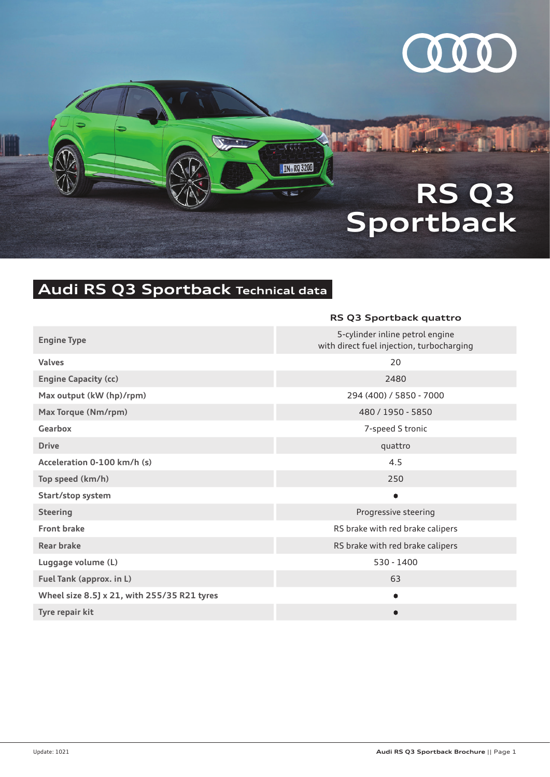

# **RS Q3 Sportback**

## **Audi RS Q3 Sportback Technical data**

|                                             | RS Q3 Sportback quattro                                                      |
|---------------------------------------------|------------------------------------------------------------------------------|
| <b>Engine Type</b>                          | 5-cylinder inline petrol engine<br>with direct fuel injection, turbocharging |
| <b>Valves</b>                               | 20                                                                           |
| <b>Engine Capacity (cc)</b>                 | 2480                                                                         |
| Max output (kW (hp)/rpm)                    | 294 (400) / 5850 - 7000                                                      |
| Max Torque (Nm/rpm)                         | 480 / 1950 - 5850                                                            |
| <b>Gearbox</b>                              | 7-speed S tronic                                                             |
| <b>Drive</b>                                | quattro                                                                      |
| Acceleration 0-100 km/h (s)                 | 4.5                                                                          |
| Top speed (km/h)                            | 250                                                                          |
| Start/stop system                           | $\bullet$                                                                    |
| <b>Steering</b>                             | Progressive steering                                                         |
| <b>Front brake</b>                          | RS brake with red brake calipers                                             |
| Rear brake                                  | RS brake with red brake calipers                                             |
| Luggage volume (L)                          | 530 - 1400                                                                   |
| Fuel Tank (approx. in L)                    | 63                                                                           |
| Wheel size 8.5] x 21, with 255/35 R21 tyres |                                                                              |
| Tyre repair kit                             |                                                                              |
|                                             |                                                                              |

rttt.

**IN RQ 3200** 

 $\overline{\mathbf{x}}$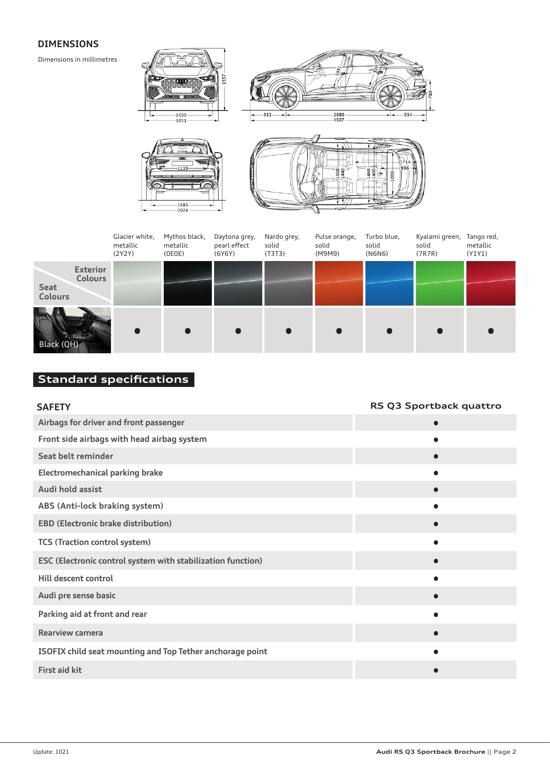#### **DIMENSIONS**

Dimensions in millimetres





|                                                             | Glacier white,<br>metallic<br>(2Y2Y) | Mythos black,<br>metallic<br>(OEOE) | Daytona grey,<br>pearl effect<br>(6Y6Y) | Nardo grey,<br>solid<br>(T3T3) | Pulse orange,<br>solid<br>(M9M9) | Turbo blue,<br>solid<br>(N6N6) | Kyalami green, Tango red,<br>solid<br>(7R7R) | metallic<br>(Y1Y1) |
|-------------------------------------------------------------|--------------------------------------|-------------------------------------|-----------------------------------------|--------------------------------|----------------------------------|--------------------------------|----------------------------------------------|--------------------|
| <b>Exterior</b><br><b>Colours</b><br>Seat<br><b>Colours</b> |                                      |                                     |                                         |                                |                                  |                                |                                              |                    |
| Black (QH)                                                  |                                      |                                     |                                         |                                |                                  |                                | $\bullet$                                    |                    |

### **Standard specifications**

 $-1583$ <br> $-2024$ 

| <b>SAFETY</b>                                               | RS Q3 Sportback quattro |
|-------------------------------------------------------------|-------------------------|
| Airbags for driver and front passenger                      | $\bullet$               |
| Front side airbags with head airbag system                  |                         |
| Seat belt reminder                                          |                         |
| <b>Electromechanical parking brake</b>                      |                         |
| Audi hold assist                                            |                         |
| ABS (Anti-lock braking system)                              |                         |
| <b>EBD (Electronic brake distribution)</b>                  | $\bullet$               |
| <b>TCS (Traction control system)</b>                        |                         |
| ESC (Electronic control system with stabilization function) |                         |
| Hill descent control                                        |                         |
| Audi pre sense basic                                        |                         |
| Parking aid at front and rear                               |                         |
| <b>Rearview camera</b>                                      |                         |
| ISOFIX child seat mounting and Top Tether anchorage point   |                         |
| <b>First aid kit</b>                                        |                         |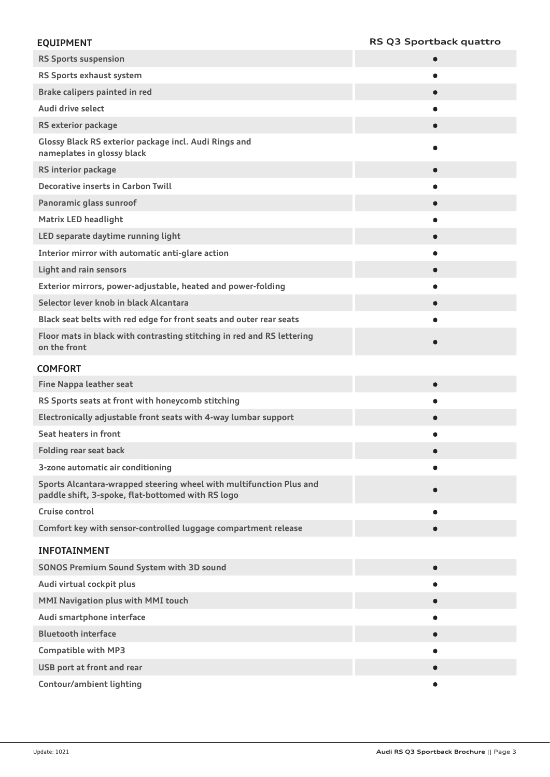#### **EQUIPMENT RS Q3 Sportback quattro**

| <b>RS Sports suspension</b>                                                                                              |  |
|--------------------------------------------------------------------------------------------------------------------------|--|
| RS Sports exhaust system                                                                                                 |  |
| Brake calipers painted in red                                                                                            |  |
| Audi drive select                                                                                                        |  |
| <b>RS exterior package</b>                                                                                               |  |
| Glossy Black RS exterior package incl. Audi Rings and<br>nameplates in glossy black                                      |  |
| RS interior package                                                                                                      |  |
| <b>Decorative inserts in Carbon Twill</b>                                                                                |  |
| Panoramic glass sunroof                                                                                                  |  |
| <b>Matrix LED headlight</b>                                                                                              |  |
| LED separate daytime running light                                                                                       |  |
| Interior mirror with automatic anti-glare action                                                                         |  |
| <b>Light and rain sensors</b>                                                                                            |  |
| Exterior mirrors, power-adjustable, heated and power-folding                                                             |  |
| Selector lever knob in black Alcantara                                                                                   |  |
| Black seat belts with red edge for front seats and outer rear seats                                                      |  |
| Floor mats in black with contrasting stitching in red and RS lettering<br>on the front                                   |  |
| <b>COMFORT</b>                                                                                                           |  |
| <b>Fine Nappa leather seat</b>                                                                                           |  |
| RS Sports seats at front with honeycomb stitching                                                                        |  |
| Electronically adjustable front seats with 4-way lumbar support                                                          |  |
| Seat heaters in front                                                                                                    |  |
| <b>Folding rear seat back</b>                                                                                            |  |
| 3-zone automatic air conditioning                                                                                        |  |
| Sports Alcantara-wrapped steering wheel with multifunction Plus and<br>paddle shift, 3-spoke, flat-bottomed with RS logo |  |
| Cruise control                                                                                                           |  |
| Comfort key with sensor-controlled luggage compartment release                                                           |  |
| <b>INFOTAINMENT</b>                                                                                                      |  |
| <b>SONOS Premium Sound System with 3D sound</b>                                                                          |  |
| Audi virtual cockpit plus                                                                                                |  |
| MMI Navigation plus with MMI touch                                                                                       |  |
| Audi smartphone interface                                                                                                |  |
| <b>Bluetooth interface</b>                                                                                               |  |
| <b>Compatible with MP3</b>                                                                                               |  |
| USB port at front and rear                                                                                               |  |
| Contour/ambient lighting                                                                                                 |  |